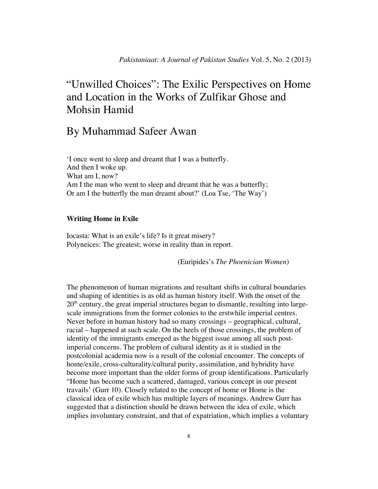# "Unwilled Choices": The Exilic Perspectives on Home and Location in the Works of Zulfikar Ghose and Mohsin Hamid

# By Muhammad Safeer Awan

'I once went to sleep and dreamt that I was a butterfly. And then I woke up. What am I, now? Am I the man who went to sleep and dreamt that he was a butterfly; Or am I the butterfly the man dreamt about?' (Loa Tse, 'The Way')

## **Writing Home in Exile**

Iocasta: What is an exile's life? Is it great misery? Polyneices: The greatest; worse in reality than in report.

(Euripides's *The Phoenician Women*)

The phenomenon of human migrations and resultant shifts in cultural boundaries and shaping of identities is as old as human history itself. With the onset of the  $20<sup>th</sup>$  century, the great imperial structures began to dismantle, resulting into largescale immigrations from the former colonies to the erstwhile imperial centres. Never before in human history had so many crossings – geographical, cultural, racial – happened at such scale. On the heels of those crossings, the problem of identity of the immigrants emerged as the biggest issue among all such postimperial concerns. The problem of cultural identity as it is studied in the postcolonial academia now is a result of the colonial encounter. The concepts of home/exile, cross-culturality/cultural purity, assimilation, and hybridity have become more important than the older forms of group identifications. Particularly "Home has become such a scattered, damaged, various concept in our present travails' (Gurr 10). Closely related to the concept of home or Home is the classical idea of exile which has multiple layers of meanings. Andrew Gurr has suggested that a distinction should be drawn between the idea of exile, which implies involuntary constraint, and that of expatriation, which implies a voluntary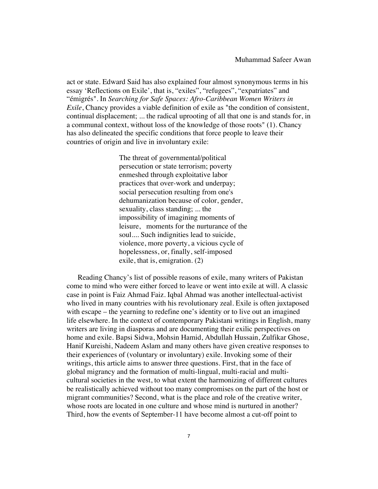act or state. Edward Said has also explained four almost synonymous terms in his essay 'Reflections on Exile', that is, "exiles", "refugees", "expatriates" and "émigrés". In *Searching for Safe Spaces: Afro-Caribbean Women Writers in Exile*, Chancy provides a viable definition of exile as "the condition of consistent, continual displacement; ... the radical uprooting of all that one is and stands for, in a communal context, without loss of the knowledge of those roots" (1). Chancy has also delineated the specific conditions that force people to leave their countries of origin and live in involuntary exile:

> The threat of governmental/political persecution or state terrorism; poverty enmeshed through exploitative labor practices that over-work and underpay; social persecution resulting from one's dehumanization because of color, gender, sexuality, class standing; ... the impossibility of imagining moments of leisure, moments for the nurturance of the soul.... Such indignities lead to suicide, violence, more poverty, a vicious cycle of hopelessness, or, finally, self-imposed exile, that is, emigration. (2)

Reading Chancy's list of possible reasons of exile, many writers of Pakistan come to mind who were either forced to leave or went into exile at will. A classic case in point is Faiz Ahmad Faiz. Iqbal Ahmad was another intellectual-activist who lived in many countries with his revolutionary zeal. Exile is often juxtaposed with escape – the yearning to redefine one's identity or to live out an imagined life elsewhere. In the context of contemporary Pakistani writings in English, many writers are living in diasporas and are documenting their exilic perspectives on home and exile. Bapsi Sidwa, Mohsin Hamid, Abdullah Hussain, Zulfikar Ghose, Hanif Kureishi, Nadeem Aslam and many others have given creative responses to their experiences of (voluntary or involuntary) exile. Invoking some of their writings, this article aims to answer three questions. First, that in the face of global migrancy and the formation of multi-lingual, multi-racial and multicultural societies in the west, to what extent the harmonizing of different cultures be realistically achieved without too many compromises on the part of the host or migrant communities? Second, what is the place and role of the creative writer, whose roots are located in one culture and whose mind is nurtured in another? Third, how the events of September-11 have become almost a cut-off point to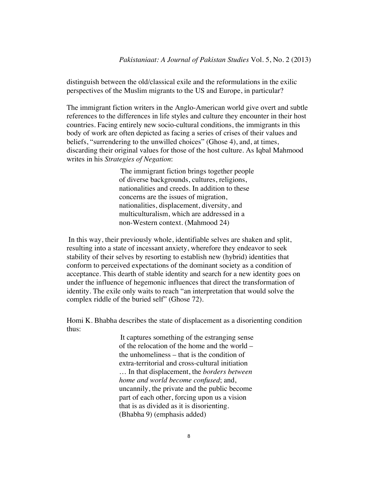distinguish between the old/classical exile and the reformulations in the exilic perspectives of the Muslim migrants to the US and Europe, in particular?

The immigrant fiction writers in the Anglo-American world give overt and subtle references to the differences in life styles and culture they encounter in their host countries. Facing entirely new socio-cultural conditions, the immigrants in this body of work are often depicted as facing a series of crises of their values and beliefs, "surrendering to the unwilled choices" (Ghose 4), and, at times, discarding their original values for those of the host culture. As Iqbal Mahmood writes in his *Strategies of Negation*:

> The immigrant fiction brings together people of diverse backgrounds, cultures, religions, nationalities and creeds. In addition to these concerns are the issues of migration, nationalities, displacement, diversity, and multiculturalism, which are addressed in a non-Western context. (Mahmood 24)

 In this way, their previously whole, identifiable selves are shaken and split, resulting into a state of incessant anxiety, wherefore they endeavor to seek stability of their selves by resorting to establish new (hybrid) identities that conform to perceived expectations of the dominant society as a condition of acceptance. This dearth of stable identity and search for a new identity goes on under the influence of hegemonic influences that direct the transformation of identity. The exile only waits to reach "an interpretation that would solve the complex riddle of the buried self" (Ghose 72).

Homi K. Bhabha describes the state of displacement as a disorienting condition thus:

> It captures something of the estranging sense of the relocation of the home and the world – the unhomeliness – that is the condition of extra-territorial and cross-cultural initiation … In that displacement, the *borders between home and world become confused*; and, uncannily, the private and the public become part of each other, forcing upon us a vision that is as divided as it is disorienting. (Bhabha 9) (emphasis added)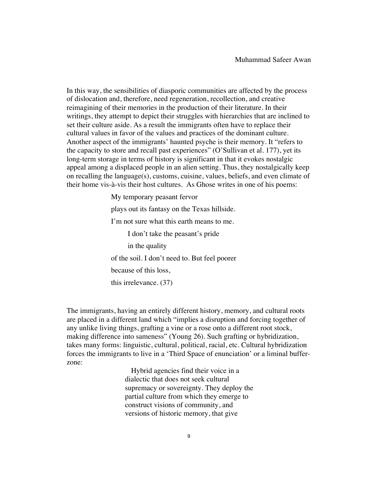In this way, the sensibilities of diasporic communities are affected by the process of dislocation and, therefore, need regeneration, recollection, and creative reimagining of their memories in the production of their literature. In their writings, they attempt to depict their struggles with hierarchies that are inclined to set their culture aside. As a result the immigrants often have to replace their cultural values in favor of the values and practices of the dominant culture. Another aspect of the immigrants' haunted psyche is their memory. It "refers to the capacity to store and recall past experiences" (O'Sullivan et al. 177), yet its long-term storage in terms of history is significant in that it evokes nostalgic appeal among a displaced people in an alien setting. Thus, they nostalgically keep on recalling the language(s), customs, cuisine, values, beliefs, and even climate of their home vis-à-vis their host cultures. As Ghose writes in one of his poems:

> My temporary peasant fervor plays out its fantasy on the Texas hillside. I'm not sure what this earth means to me. I don't take the peasant's pride in the quality of the soil. I don't need to. But feel poorer because of this loss, this irrelevance. (37)

The immigrants, having an entirely different history, memory, and cultural roots are placed in a different land which "implies a disruption and forcing together of any unlike living things, grafting a vine or a rose onto a different root stock, making difference into sameness" (Young 26). Such grafting or hybridization, takes many forms: linguistic, cultural, political, racial, etc. Cultural hybridization forces the immigrants to live in a 'Third Space of enunciation' or a liminal bufferzone:

> Hybrid agencies find their voice in a dialectic that does not seek cultural supremacy or sovereignty. They deploy the partial culture from which they emerge to construct visions of community, and versions of historic memory, that give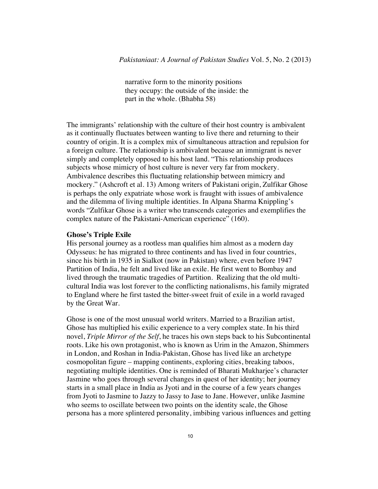narrative form to the minority positions they occupy: the outside of the inside: the part in the whole. (Bhabha 58)

The immigrants' relationship with the culture of their host country is ambivalent as it continually fluctuates between wanting to live there and returning to their country of origin. It is a complex mix of simultaneous attraction and repulsion for a foreign culture. The relationship is ambivalent because an immigrant is never simply and completely opposed to his host land. "This relationship produces subjects whose mimicry of host culture is never very far from mockery. Ambivalence describes this fluctuating relationship between mimicry and mockery." (Ashcroft et al. 13) Among writers of Pakistani origin, Zulfikar Ghose is perhaps the only expatriate whose work is fraught with issues of ambivalence and the dilemma of living multiple identities. In Alpana Sharma Knippling's words "Zulfikar Ghose is a writer who transcends categories and exemplifies the complex nature of the Pakistani-American experience" (160).

#### **Ghose's Triple Exile**

His personal journey as a rootless man qualifies him almost as a modern day Odysseus: he has migrated to three continents and has lived in four countries, since his birth in 1935 in Sialkot (now in Pakistan) where, even before 1947 Partition of India, he felt and lived like an exile. He first went to Bombay and lived through the traumatic tragedies of Partition. Realizing that the old multicultural India was lost forever to the conflicting nationalisms, his family migrated to England where he first tasted the bitter-sweet fruit of exile in a world ravaged by the Great War.

Ghose is one of the most unusual world writers. Married to a Brazilian artist, Ghose has multiplied his exilic experience to a very complex state. In his third novel, *Triple Mirror of the Self*, he traces his own steps back to his Subcontinental roots. Like his own protagonist, who is known as Urim in the Amazon, Shimmers in London, and Roshan in India-Pakistan, Ghose has lived like an archetype cosmopolitan figure – mapping continents, exploring cities, breaking taboos, negotiating multiple identities. One is reminded of Bharati Mukharjee's character Jasmine who goes through several changes in quest of her identity; her journey starts in a small place in India as Jyoti and in the course of a few years changes from Jyoti to Jasmine to Jazzy to Jassy to Jase to Jane. However, unlike Jasmine who seems to oscillate between two points on the identity scale, the Ghose persona has a more splintered personality, imbibing various influences and getting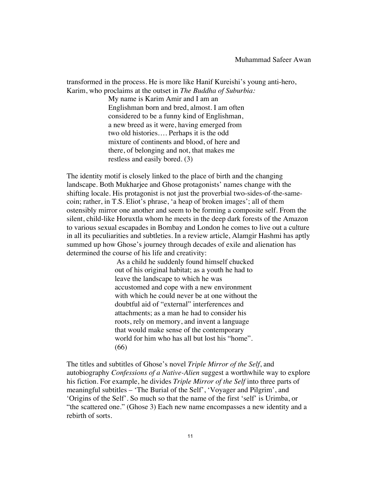transformed in the process. He is more like Hanif Kureishi's young anti-hero, Karim, who proclaims at the outset in *The Buddha of Suburbia:* 

> My name is Karim Amir and I am an Englishman born and bred, almost. I am often considered to be a funny kind of Englishman, a new breed as it were, having emerged from two old histories…. Perhaps it is the odd mixture of continents and blood, of here and there, of belonging and not, that makes me restless and easily bored. (3)

The identity motif is closely linked to the place of birth and the changing landscape. Both Mukharjee and Ghose protagonists' names change with the shifting locale. His protagonist is not just the proverbial two-sides-of-the-samecoin; rather, in T.S. Eliot's phrase, 'a heap of broken images'; all of them ostensibly mirror one another and seem to be forming a composite self. From the silent, child-like Horuxtla whom he meets in the deep dark forests of the Amazon to various sexual escapades in Bombay and London he comes to live out a culture in all its peculiarities and subtleties. In a review article, Alamgir Hashmi has aptly summed up how Ghose's journey through decades of exile and alienation has determined the course of his life and creativity:

> As a child he suddenly found himself chucked out of his original habitat; as a youth he had to leave the landscape to which he was accustomed and cope with a new environment with which he could never be at one without the doubtful aid of "external" interferences and attachments; as a man he had to consider his roots, rely on memory, and invent a language that would make sense of the contemporary world for him who has all but lost his "home". (66)

The titles and subtitles of Ghose's novel *Triple Mirror of the Self*, and autobiography *Confessions of a Native-Alien* suggest a worthwhile way to explore his fiction. For example, he divides *Triple Mirror of the Self* into three parts of meaningful subtitles – 'The Burial of the Self', 'Voyager and Pilgrim', and 'Origins of the Self'. So much so that the name of the first 'self' is Urimba, or "the scattered one." (Ghose 3) Each new name encompasses a new identity and a rebirth of sorts.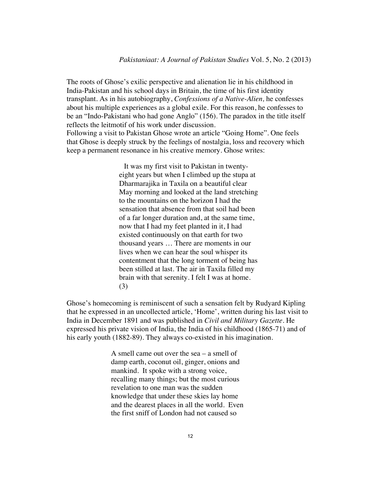The roots of Ghose's exilic perspective and alienation lie in his childhood in India-Pakistan and his school days in Britain, the time of his first identity transplant. As in his autobiography, *Confessions of a Native-Alien,* he confesses about his multiple experiences as a global exile. For this reason, he confesses to be an "Indo-Pakistani who had gone Anglo" (156). The paradox in the title itself reflects the leitmotif of his work under discussion. Following a visit to Pakistan Ghose wrote an article "Going Home". One feels that Ghose is deeply struck by the feelings of nostalgia, loss and recovery which keep a permanent resonance in his creative memory. Ghose writes:

> It was my first visit to Pakistan in twentyeight years but when I climbed up the stupa at Dharmarajika in Taxila on a beautiful clear May morning and looked at the land stretching to the mountains on the horizon I had the sensation that absence from that soil had been of a far longer duration and, at the same time, now that I had my feet planted in it, I had existed continuously on that earth for two thousand years … There are moments in our lives when we can hear the soul whisper its contentment that the long torment of being has been stilled at last. The air in Taxila filled my brain with that serenity. I felt I was at home. (3)

Ghose's homecoming is reminiscent of such a sensation felt by Rudyard Kipling that he expressed in an uncollected article, 'Home', written during his last visit to India in December 1891 and was published in *Civil and Military Gazette*. He expressed his private vision of India, the India of his childhood (1865-71) and of his early youth (1882-89). They always co-existed in his imagination.

> A smell came out over the sea – a smell of damp earth, coconut oil, ginger, onions and mankind. It spoke with a strong voice, recalling many things; but the most curious revelation to one man was the sudden knowledge that under these skies lay home and the dearest places in all the world. Even the first sniff of London had not caused so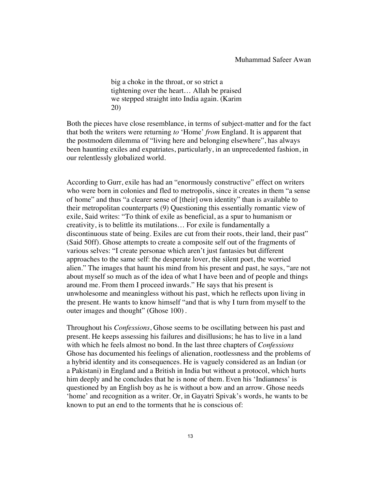big a choke in the throat, or so strict a tightening over the heart… Allah be praised we stepped straight into India again. (Karim 20)

Both the pieces have close resemblance, in terms of subject-matter and for the fact that both the writers were returning *to* 'Home' *from* England. It is apparent that the postmodern dilemma of "living here and belonging elsewhere", has always been haunting exiles and expatriates, particularly, in an unprecedented fashion, in our relentlessly globalized world.

According to Gurr, exile has had an "enormously constructive" effect on writers who were born in colonies and fled to metropolis, since it creates in them "a sense of home" and thus "a clearer sense of [their] own identity" than is available to their metropolitan counterparts (9) Questioning this essentially romantic view of exile, Said writes: "To think of exile as beneficial, as a spur to humanism or creativity, is to belittle its mutilations… For exile is fundamentally a discontinuous state of being. Exiles are cut from their roots, their land, their past" (Said 50ff). Ghose attempts to create a composite self out of the fragments of various selves: "I create personae which aren't just fantasies but different approaches to the same self: the desperate lover, the silent poet, the worried alien." The images that haunt his mind from his present and past, he says, "are not about myself so much as of the idea of what I have been and of people and things around me. From them I proceed inwards." He says that his present is unwholesome and meaningless without his past, which he reflects upon living in the present. He wants to know himself "and that is why I turn from myself to the outer images and thought" (Ghose 100).

Throughout his *Confessions*, Ghose seems to be oscillating between his past and present*.* He keeps assessing his failures and disillusions; he has to live in a land with which he feels almost no bond. In the last three chapters of *Confessions* Ghose has documented his feelings of alienation, rootlessness and the problems of a hybrid identity and its consequences. He is vaguely considered as an Indian (or a Pakistani) in England and a British in India but without a protocol, which hurts him deeply and he concludes that he is none of them. Even his 'Indianness' is questioned by an English boy as he is without a bow and an arrow. Ghose needs 'home' and recognition as a writer. Or, in Gayatri Spivak's words, he wants to be known to put an end to the torments that he is conscious of: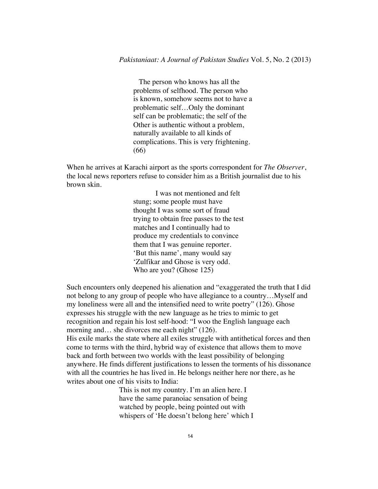The person who knows has all the problems of selfhood. The person who is known, somehow seems not to have a problematic self…Only the dominant self can be problematic; the self of the Other is authentic without a problem, naturally available to all kinds of complications. This is very frightening. (66)

When he arrives at Karachi airport as the sports correspondent for *The Observer*, the local news reporters refuse to consider him as a British journalist due to his brown skin.

> I was not mentioned and felt stung; some people must have thought I was some sort of fraud trying to obtain free passes to the test matches and I continually had to produce my credentials to convince them that I was genuine reporter. 'But this name', many would say 'Zulfikar and Ghose is very odd. Who are you? (Ghose 125)

Such encounters only deepened his alienation and "exaggerated the truth that I did not belong to any group of people who have allegiance to a country…Myself and my loneliness were all and the intensified need to write poetry" (126). Ghose expresses his struggle with the new language as he tries to mimic to get recognition and regain his lost self-hood: "I woo the English language each morning and... she divorces me each night" (126). His exile marks the state where all exiles struggle with antithetical forces and then come to terms with the third, hybrid way of existence that allows them to move back and forth between two worlds with the least possibility of belonging anywhere. He finds different justifications to lessen the torments of his dissonance with all the countries he has lived in. He belongs neither here nor there, as he writes about one of his visits to India:

> This is not my country. I'm an alien here. I have the same paranoiac sensation of being watched by people, being pointed out with whispers of 'He doesn't belong here' which I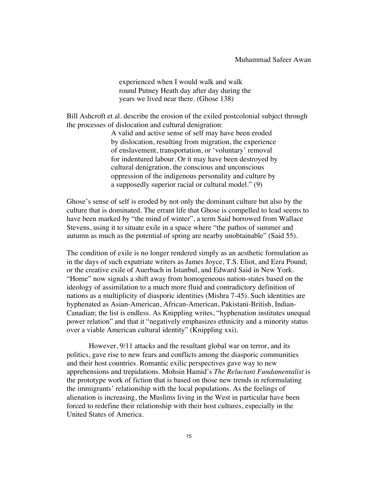experienced when I would walk and walk round Putney Heath day after day during the years we lived near there. (Ghose 138)

Bill Ashcroft et al. describe the erosion of the exiled postcolonial subject through the processes of dislocation and cultural denigration:

> A valid and active sense of self may have been eroded by dislocation, resulting from migration, the experience of enslavement, transportation, or 'voluntary' removal for indentured labour. Or it may have been destroyed by cultural denigration, the conscious and unconscious oppression of the indigenous personality and culture by a supposedly superior racial or cultural model." (9)

Ghose's sense of self is eroded by not only the dominant culture but also by the culture that is dominated. The errant life that Ghose is compelled to lead seems to have been marked by "the mind of winter", a term Said borrowed from Wallace Stevens, using it to situate exile in a space where "the pathos of summer and autumn as much as the potential of spring are nearby unobtainable" (Said 55).

The condition of exile is no longer rendered simply as an aesthetic formulation as in the days of such expatriate writers as James Joyce, T.S. Eliot, and Ezra Pound; or the creative exile of Auerbach in Istanbul, and Edward Said in New York. "Home" now signals a shift away from homogeneous nation-states based on the ideology of assimilation to a much more fluid and contradictory definition of nations as a multiplicity of diasporic identities (Mishra 7-45). Such identities are hyphenated as Asian-American, African-American, Pakistani-British, Indian-Canadian; the list is endless. As Knippling writes, "hyphenation institutes unequal power relation" and that it "negatively emphasizes ethnicity and a minority status over a viable American cultural identity" (Knippling xxi).

However, 9/11 attacks and the resultant global war on terror, and its politics, gave rise to new fears and conflicts among the diasporic communities and their host countries. Romantic exilic perspectives gave way to new apprehensions and trepidations. Mohsin Hamid's *The Reluctant Fundamentalist* is the prototype work of fiction that is based on those new trends in reformulating the immigrants' relationship with the local populations. As the feelings of alienation is increasing, the Muslims living in the West in particular have been forced to redefine their relationship with their host cultures, especially in the United States of America.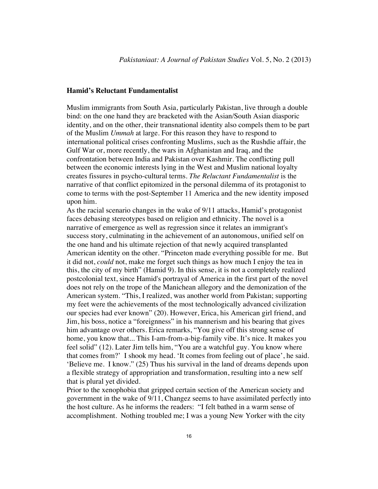#### **Hamid's Reluctant Fundamentalist**

Muslim immigrants from South Asia, particularly Pakistan, live through a double bind: on the one hand they are bracketed with the Asian/South Asian diasporic identity, and on the other, their transnational identity also compels them to be part of the Muslim *Ummah* at large. For this reason they have to respond to international political crises confronting Muslims, such as the Rushdie affair, the Gulf War or, more recently, the wars in Afghanistan and Iraq, and the confrontation between India and Pakistan over Kashmir. The conflicting pull between the economic interests lying in the West and Muslim national loyalty creates fissures in psycho-cultural terms. *The Reluctant Fundamentalist* is the narrative of that conflict epitomized in the personal dilemma of its protagonist to come to terms with the post-September 11 America and the new identity imposed upon him.

As the racial scenario changes in the wake of 9/11 attacks, Hamid's protagonist faces debasing stereotypes based on religion and ethnicity. The novel is a narrative of emergence as well as regression since it relates an immigrant's success story, culminating in the achievement of an autonomous, unified self on the one hand and his ultimate rejection of that newly acquired transplanted American identity on the other. "Princeton made everything possible for me. But it did not, *could* not, make me forget such things as how much I enjoy the tea in this, the city of my birth" (Hamid 9). In this sense, it is not a completely realized postcolonial text, since Hamid's portrayal of America in the first part of the novel does not rely on the trope of the Manichean allegory and the demonization of the American system. "This, I realized, was another world from Pakistan; supporting my feet were the achievements of the most technologically advanced civilization our species had ever known" (20). However, Erica, his American girl friend, and Jim, his boss, notice a "foreignness" in his mannerism and his bearing that gives him advantage over others. Erica remarks, "You give off this strong sense of home, you know that... This I-am-from-a-big-family vibe. It's nice. It makes you feel solid" (12). Later Jim tells him, "You are a watchful guy. You know where that comes from?' I shook my head. 'It comes from feeling out of place', he said. 'Believe me. I know." (25) Thus his survival in the land of dreams depends upon a flexible strategy of appropriation and transformation, resulting into a new self that is plural yet divided.

Prior to the xenophobia that gripped certain section of the American society and government in the wake of 9/11, Changez seems to have assimilated perfectly into the host culture. As he informs the readers: "I felt bathed in a warm sense of accomplishment. Nothing troubled me; I was a young New Yorker with the city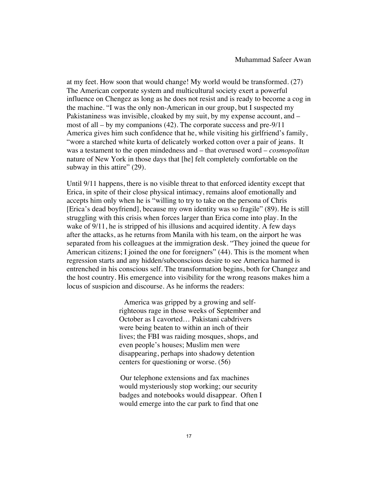at my feet. How soon that would change! My world would be transformed. (27) The American corporate system and multicultural society exert a powerful influence on Chengez as long as he does not resist and is ready to become a cog in the machine. "I was the only non-American in our group, but I suspected my Pakistaniness was invisible, cloaked by my suit, by my expense account, and – most of all – by my companions (42). The corporate success and pre-9/11 America gives him such confidence that he, while visiting his girlfriend's family, "wore a starched white kurta of delicately worked cotton over a pair of jeans. It was a testament to the open mindedness and – that overused word – *cosmopolitan*  nature of New York in those days that [he] felt completely comfortable on the subway in this attire" (29).

Until 9/11 happens, there is no visible threat to that enforced identity except that Erica, in spite of their close physical intimacy, remains aloof emotionally and accepts him only when he is "willing to try to take on the persona of Chris [Erica's dead boyfriend], because my own identity was so fragile" (89). He is still struggling with this crisis when forces larger than Erica come into play. In the wake of  $9/11$ , he is stripped of his illusions and acquired identity. A few days after the attacks, as he returns from Manila with his team, on the airport he was separated from his colleagues at the immigration desk. "They joined the queue for American citizens; I joined the one for foreigners" (44). This is the moment when regression starts and any hidden/subconscious desire to see America harmed is entrenched in his conscious self. The transformation begins, both for Changez and the host country. His emergence into visibility for the wrong reasons makes him a locus of suspicion and discourse. As he informs the readers:

> America was gripped by a growing and selfrighteous rage in those weeks of September and October as I cavorted… Pakistani cabdrivers were being beaten to within an inch of their lives; the FBI was raiding mosques, shops, and even people's houses; Muslim men were disappearing, perhaps into shadowy detention centers for questioning or worse. (56)

> Our telephone extensions and fax machines would mysteriously stop working; our security badges and notebooks would disappear. Often I would emerge into the car park to find that one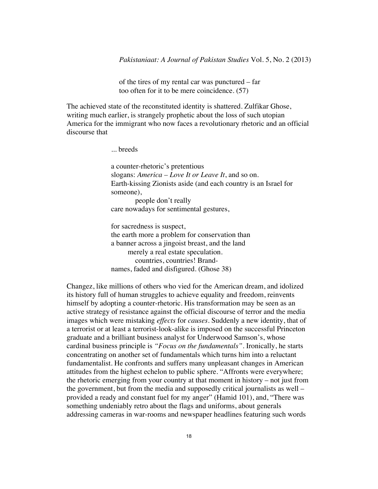of the tires of my rental car was punctured – far too often for it to be mere coincidence. (57)

The achieved state of the reconstituted identity is shattered. Zulfikar Ghose, writing much earlier, is strangely prophetic about the loss of such utopian America for the immigrant who now faces a revolutionary rhetoric and an official discourse that

... breeds

a counter-rhetoric's pretentious slogans: *America – Love It or Leave It*, and so on. Earth-kissing Zionists aside (and each country is an Israel for someone), people don't really care nowadays for sentimental gestures,

for sacredness is suspect, the earth more a problem for conservation than a banner across a jingoist breast, and the land merely a real estate speculation. countries, countries! Brandnames, faded and disfigured. (Ghose 38)

Changez, like millions of others who vied for the American dream, and idolized its history full of human struggles to achieve equality and freedom, reinvents himself by adopting a counter-rhetoric. His transformation may be seen as an active strategy of resistance against the official discourse of terror and the media images which were mistaking *effects* for *causes*. Suddenly a new identity, that of a terrorist or at least a terrorist-look-alike is imposed on the successful Princeton graduate and a brilliant business analyst for Underwood Samson's, whose cardinal business principle is *"Focus on the fundamentals".* Ironically, he starts concentrating on another set of fundamentals which turns him into a reluctant fundamentalist. He confronts and suffers many unpleasant changes in American attitudes from the highest echelon to public sphere. "Affronts were everywhere; the rhetoric emerging from your country at that moment in history – not just from the government, but from the media and supposedly critical journalists as well – provided a ready and constant fuel for my anger" (Hamid 101), and, "There was something undeniably retro about the flags and uniforms, about generals addressing cameras in war-rooms and newspaper headlines featuring such words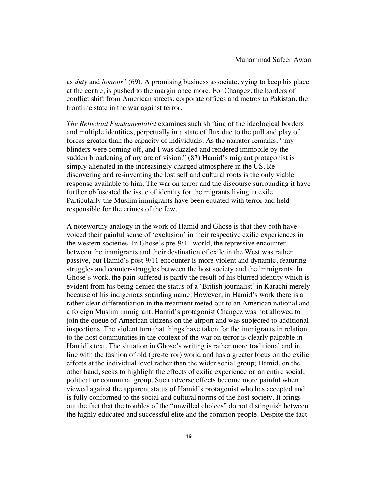as *duty* and *honour*" (69). A promising business associate, vying to keep his place at the centre, is pushed to the margin once more. For Changez, the borders of conflict shift from American streets, corporate offices and metros to Pakistan, the frontline state in the war against terror.

*The Reluctant Fundamentalist* examines such shifting of the ideological borders and multiple identities, perpetually in a state of flux due to the pull and play of forces greater than the capacity of individuals. As the narrator remarks, ''my blinders were coming off, and I was dazzled and rendered immobile by the sudden broadening of my arc of vision." (87) Hamid's migrant protagonist is simply alienated in the increasingly charged atmosphere in the US. Rediscovering and re-inventing the lost self and cultural roots is the only viable response available to him. The war on terror and the discourse surrounding it have further obfuscated the issue of identity for the migrants living in exile. Particularly the Muslim immigrants have been equated with terror and held responsible for the crimes of the few.

A noteworthy analogy in the work of Hamid and Ghose is that they both have voiced their painful sense of 'exclusion' in their respective exilic experiences in the western societies. In Ghose's pre-9/11 world, the repressive encounter between the immigrants and their destination of exile in the West was rather passive, but Hamid's post-9/11 encounter is more violent and dynamic, featuring struggles and counter-struggles between the host society and the immigrants. In Ghose's work, the pain suffered is partly the result of his blurred identity which is evident from his being denied the status of a 'British journalist' in Karachi merely because of his indigenous sounding name. However, in Hamid's work there is a rather clear differentiation in the treatment meted out to an American national and a foreign Muslim immigrant. Hamid's protagonist Changez was not allowed to join the queue of American citizens on the airport and was subjected to additional inspections. The violent turn that things have taken for the immigrants in relation to the host communities in the context of the war on terror is clearly palpable in Hamid's text. The situation in Ghose's writing is rather more traditional and in line with the fashion of old (pre-terror) world and has a greater focus on the exilic effects at the individual level rather than the wider social group; Hamid, on the other hand, seeks to highlight the effects of exilic experience on an entire social, political or communal group. Such adverse effects become more painful when viewed against the apparent status of Hamid's protagonist who has accepted and is fully conformed to the social and cultural norms of the host society. It brings out the fact that the troubles of the "unwilled choices" do not distinguish between the highly educated and successful elite and the common people. Despite the fact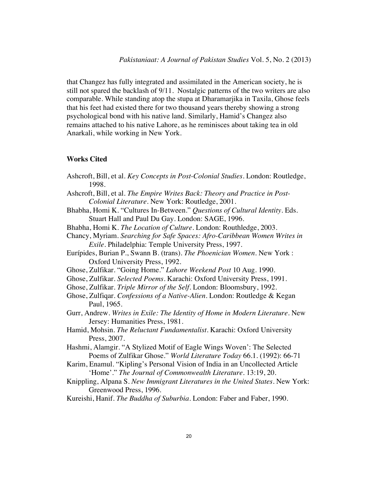that Changez has fully integrated and assimilated in the American society, he is still not spared the backlash of 9/11. Nostalgic patterns of the two writers are also comparable. While standing atop the stupa at Dharamarjika in Taxila, Ghose feels that his feet had existed there for two thousand years thereby showing a strong psychological bond with his native land. Similarly, Hamid's Changez also remains attached to his native Lahore, as he reminisces about taking tea in old Anarkali, while working in New York.

#### **Works Cited**

- Ashcroft, Bill, et al. *Key Concepts in Post-Colonial Studies*. London: Routledge, 1998.
- Ashcroft, Bill, et al. *The Empire Writes Back: Theory and Practice in Post-Colonial Literature*. New York: Routledge, 2001.
- Bhabha, Homi K. "Cultures In-Between." *Questions of Cultural Identity*. Eds. Stuart Hall and Paul Du Gay. London: SAGE, 1996.
- Bhabha, Homi K. *The Location of Culture*. London: Routhledge, 2003.
- Chancy, Myriam. *Searching for Safe Spaces: Afro-Caribbean Women Writes in Exile*. Philadelphia: Temple University Press, 1997.
- Eurípides, Burian P., Swann B. (trans)*. The Phoenician Women*. New York : Oxford University Press, 1992.
- Ghose, Zulfikar. "Going Home." *Lahore Weekend Post* 10 Aug. 1990.
- Ghose, Zulfikar. *Selected Poems*. Karachi: Oxford University Press, 1991.
- Ghose, Zulfikar. *Triple Mirror of the Self*. London: Bloomsbury, 1992.
- Ghose, Zulfiqar. *Confessions of a Native-Alien*. London: Routledge & Kegan Paul, 1965.
- Gurr, Andrew. *Writes in Exile: The Identity of Home in Modern Literature*. New Jersey: Humanities Press, 1981.
- Hamid, Mohsin. *The Reluctant Fundamentalist*. Karachi: Oxford University Press, 2007.
- Hashmi, Alamgir. "A Stylized Motif of Eagle Wings Woven': The Selected Poems of Zulfikar Ghose." *World Literature Today* 66.1. (1992): 66-71
- Karim, Enamul. "Kipling's Personal Vision of India in an Uncollected Article 'Home'." *The Journal of Commonwealth Literature.* 13:19, 20.
- Knippling, Alpana S. *New Immigrant Literatures in the United States*. New York: Greenwood Press, 1996.
- Kureishi, Hanif. *The Buddha of Suburbia*. London: Faber and Faber, 1990.